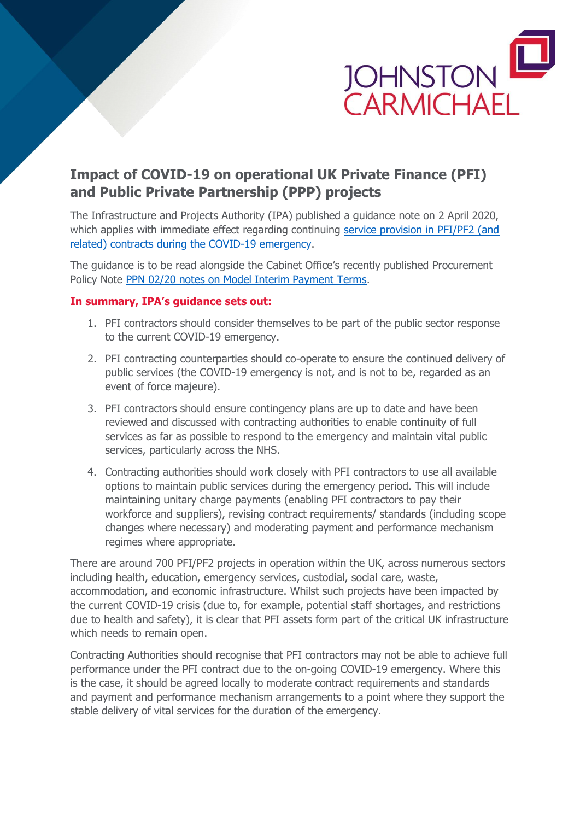

## **Impact of COVID-19 on operational UK Private Finance (PFI) and Public Private Partnership (PPP) projects**

The Infrastructure and Projects Authority (IPA) published a guidance note on 2 April 2020, which applies with immediate effect regarding continuing service provision in PFI/PF2 (and [related\) contracts during the COVID-19 emergency.](https://www.gov.uk/government/publications/supporting-vital-service-provision-in-pfipf2-contracts-during-the-covid-19-emergency?utm_source=9299bba1-b955-4c94-9c2d-755003941a07&utm_medium=email&utm_campaign=govuk-notifications&utm_content=immediate)

The guidance is to be read alongside the Cabinet Office's recently published Procurement Policy Note [PPN 02/20 notes on Model Interim Payment Terms.](https://assets.publishing.service.gov.uk/government/uploads/system/uploads/attachment_data/file/877260/PPN02_20_Model_Interim_Payment_Terms_v1.pdf)

## **In summary, IPA's guidance sets out:**

- 1. PFI contractors should consider themselves to be part of the public sector response to the current COVID-19 emergency.
- 2. PFI contracting counterparties should co-operate to ensure the continued delivery of public services (the COVID-19 emergency is not, and is not to be, regarded as an event of force majeure).
- 3. PFI contractors should ensure contingency plans are up to date and have been reviewed and discussed with contracting authorities to enable continuity of full services as far as possible to respond to the emergency and maintain vital public services, particularly across the NHS.
- 4. Contracting authorities should work closely with PFI contractors to use all available options to maintain public services during the emergency period. This will include maintaining unitary charge payments (enabling PFI contractors to pay their workforce and suppliers), revising contract requirements/ standards (including scope changes where necessary) and moderating payment and performance mechanism regimes where appropriate.

There are around 700 PFI/PF2 projects in operation within the UK, across numerous sectors including health, education, emergency services, custodial, social care, waste, accommodation, and economic infrastructure. Whilst such projects have been impacted by the current COVID-19 crisis (due to, for example, potential staff shortages, and restrictions due to health and safety), it is clear that PFI assets form part of the critical UK infrastructure which needs to remain open.

Contracting Authorities should recognise that PFI contractors may not be able to achieve full performance under the PFI contract due to the on-going COVID-19 emergency. Where this is the case, it should be agreed locally to moderate contract requirements and standards and payment and performance mechanism arrangements to a point where they support the stable delivery of vital services for the duration of the emergency.